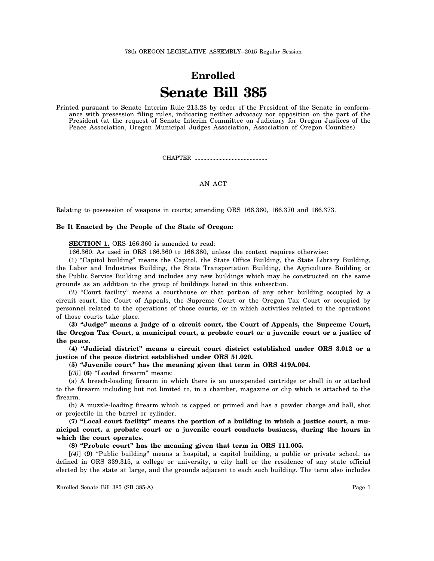## **Enrolled Senate Bill 385**

Printed pursuant to Senate Interim Rule 213.28 by order of the President of the Senate in conformance with presession filing rules, indicating neither advocacy nor opposition on the part of the President (at the request of Senate Interim Committee on Judiciary for Oregon Justices of the Peace Association, Oregon Municipal Judges Association, Association of Oregon Counties)

CHAPTER .................................................

## AN ACT

Relating to possession of weapons in courts; amending ORS 166.360, 166.370 and 166.373.

## **Be It Enacted by the People of the State of Oregon:**

**SECTION 1.** ORS 166.360 is amended to read:

166.360. As used in ORS 166.360 to 166.380, unless the context requires otherwise:

(1) "Capitol building" means the Capitol, the State Office Building, the State Library Building, the Labor and Industries Building, the State Transportation Building, the Agriculture Building or the Public Service Building and includes any new buildings which may be constructed on the same grounds as an addition to the group of buildings listed in this subsection.

(2) "Court facility" means a courthouse or that portion of any other building occupied by a circuit court, the Court of Appeals, the Supreme Court or the Oregon Tax Court or occupied by personnel related to the operations of those courts, or in which activities related to the operations of those courts take place.

**(3) "Judge" means a judge of a circuit court, the Court of Appeals, the Supreme Court, the Oregon Tax Court, a municipal court, a probate court or a juvenile court or a justice of the peace.**

**(4) "Judicial district" means a circuit court district established under ORS 3.012 or a justice of the peace district established under ORS 51.020.**

**(5) "Juvenile court" has the meaning given that term in ORS 419A.004.**

[*(3)*] **(6)** "Loaded firearm" means:

(a) A breech-loading firearm in which there is an unexpended cartridge or shell in or attached to the firearm including but not limited to, in a chamber, magazine or clip which is attached to the firearm.

(b) A muzzle-loading firearm which is capped or primed and has a powder charge and ball, shot or projectile in the barrel or cylinder.

**(7) "Local court facility" means the portion of a building in which a justice court, a municipal court, a probate court or a juvenile court conducts business, during the hours in which the court operates.**

**(8) "Probate court" has the meaning given that term in ORS 111.005.**

[*(4)*] **(9)** "Public building" means a hospital, a capitol building, a public or private school, as defined in ORS 339.315, a college or university, a city hall or the residence of any state official elected by the state at large, and the grounds adjacent to each such building. The term also includes

Enrolled Senate Bill 385 (SB 385-A) Page 1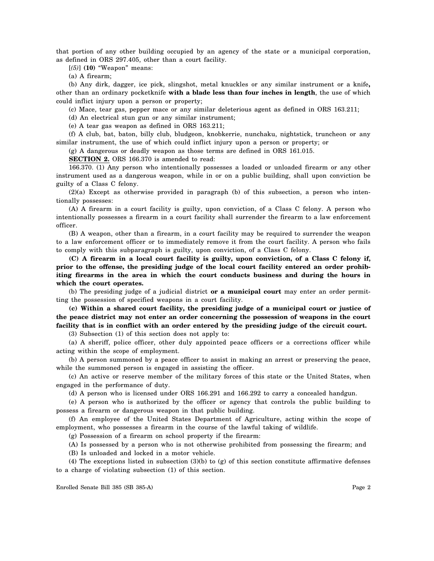that portion of any other building occupied by an agency of the state or a municipal corporation, as defined in ORS 297.405, other than a court facility.

[*(5)*] **(10)** "Weapon" means:

(a) A firearm;

(b) Any dirk, dagger, ice pick, slingshot, metal knuckles or any similar instrument or a knife**,** other than an ordinary pocketknife **with a blade less than four inches in length**, the use of which could inflict injury upon a person or property;

(c) Mace, tear gas, pepper mace or any similar deleterious agent as defined in ORS 163.211;

(d) An electrical stun gun or any similar instrument;

(e) A tear gas weapon as defined in ORS 163.211;

(f) A club, bat, baton, billy club, bludgeon, knobkerrie, nunchaku, nightstick, truncheon or any similar instrument, the use of which could inflict injury upon a person or property; or

(g) A dangerous or deadly weapon as those terms are defined in ORS 161.015.

**SECTION 2.** ORS 166.370 is amended to read:

166.370. (1) Any person who intentionally possesses a loaded or unloaded firearm or any other instrument used as a dangerous weapon, while in or on a public building, shall upon conviction be guilty of a Class C felony.

(2)(a) Except as otherwise provided in paragraph (b) of this subsection, a person who intentionally possesses:

(A) A firearm in a court facility is guilty, upon conviction, of a Class C felony. A person who intentionally possesses a firearm in a court facility shall surrender the firearm to a law enforcement officer.

(B) A weapon, other than a firearm, in a court facility may be required to surrender the weapon to a law enforcement officer or to immediately remove it from the court facility. A person who fails to comply with this subparagraph is guilty, upon conviction, of a Class C felony.

**(C) A firearm in a local court facility is guilty, upon conviction, of a Class C felony if, prior to the offense, the presiding judge of the local court facility entered an order prohibiting firearms in the area in which the court conducts business and during the hours in which the court operates.**

(b) The presiding judge of a judicial district **or a municipal court** may enter an order permitting the possession of specified weapons in a court facility.

**(c) Within a shared court facility, the presiding judge of a municipal court or justice of the peace district may not enter an order concerning the possession of weapons in the court facility that is in conflict with an order entered by the presiding judge of the circuit court.**

(3) Subsection (1) of this section does not apply to:

(a) A sheriff, police officer, other duly appointed peace officers or a corrections officer while acting within the scope of employment.

(b) A person summoned by a peace officer to assist in making an arrest or preserving the peace, while the summoned person is engaged in assisting the officer.

(c) An active or reserve member of the military forces of this state or the United States, when engaged in the performance of duty.

(d) A person who is licensed under ORS 166.291 and 166.292 to carry a concealed handgun.

(e) A person who is authorized by the officer or agency that controls the public building to possess a firearm or dangerous weapon in that public building.

(f) An employee of the United States Department of Agriculture, acting within the scope of employment, who possesses a firearm in the course of the lawful taking of wildlife.

(g) Possession of a firearm on school property if the firearm:

(A) Is possessed by a person who is not otherwise prohibited from possessing the firearm; and (B) Is unloaded and locked in a motor vehicle.

(4) The exceptions listed in subsection (3)(b) to (g) of this section constitute affirmative defenses to a charge of violating subsection (1) of this section.

Enrolled Senate Bill 385 (SB 385-A) Page 2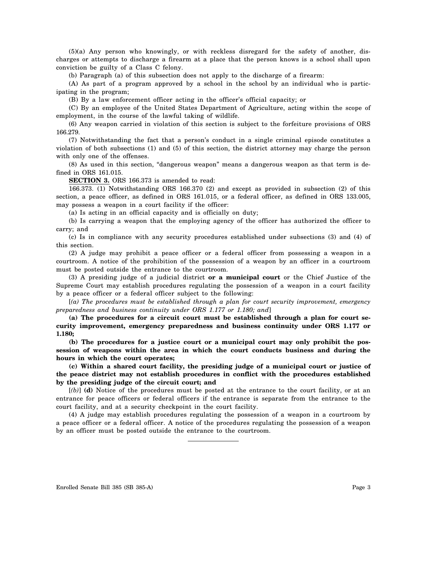(5)(a) Any person who knowingly, or with reckless disregard for the safety of another, discharges or attempts to discharge a firearm at a place that the person knows is a school shall upon conviction be guilty of a Class C felony.

(b) Paragraph (a) of this subsection does not apply to the discharge of a firearm:

(A) As part of a program approved by a school in the school by an individual who is participating in the program;

(B) By a law enforcement officer acting in the officer's official capacity; or

(C) By an employee of the United States Department of Agriculture, acting within the scope of employment, in the course of the lawful taking of wildlife.

(6) Any weapon carried in violation of this section is subject to the forfeiture provisions of ORS 166.279.

(7) Notwithstanding the fact that a person's conduct in a single criminal episode constitutes a violation of both subsections (1) and (5) of this section, the district attorney may charge the person with only one of the offenses.

(8) As used in this section, "dangerous weapon" means a dangerous weapon as that term is defined in ORS 161.015.

**SECTION 3.** ORS 166.373 is amended to read:

166.373. (1) Notwithstanding ORS 166.370 (2) and except as provided in subsection (2) of this section, a peace officer, as defined in ORS 161.015, or a federal officer, as defined in ORS 133.005, may possess a weapon in a court facility if the officer:

(a) Is acting in an official capacity and is officially on duty;

(b) Is carrying a weapon that the employing agency of the officer has authorized the officer to carry; and

(c) Is in compliance with any security procedures established under subsections (3) and (4) of this section.

(2) A judge may prohibit a peace officer or a federal officer from possessing a weapon in a courtroom. A notice of the prohibition of the possession of a weapon by an officer in a courtroom must be posted outside the entrance to the courtroom.

(3) A presiding judge of a judicial district **or a municipal court** or the Chief Justice of the Supreme Court may establish procedures regulating the possession of a weapon in a court facility by a peace officer or a federal officer subject to the following:

[*(a) The procedures must be established through a plan for court security improvement, emergency preparedness and business continuity under ORS 1.177 or 1.180; and*]

**(a) The procedures for a circuit court must be established through a plan for court security improvement, emergency preparedness and business continuity under ORS 1.177 or 1.180;**

**(b) The procedures for a justice court or a municipal court may only prohibit the possession of weapons within the area in which the court conducts business and during the hours in which the court operates;**

**(c) Within a shared court facility, the presiding judge of a municipal court or justice of the peace district may not establish procedures in conflict with the procedures established by the presiding judge of the circuit court; and**

[*(b)*] **(d)** Notice of the procedures must be posted at the entrance to the court facility, or at an entrance for peace officers or federal officers if the entrance is separate from the entrance to the court facility, and at a security checkpoint in the court facility.

(4) A judge may establish procedures regulating the possession of a weapon in a courtroom by a peace officer or a federal officer. A notice of the procedures regulating the possession of a weapon by an officer must be posted outside the entrance to the courtroom.